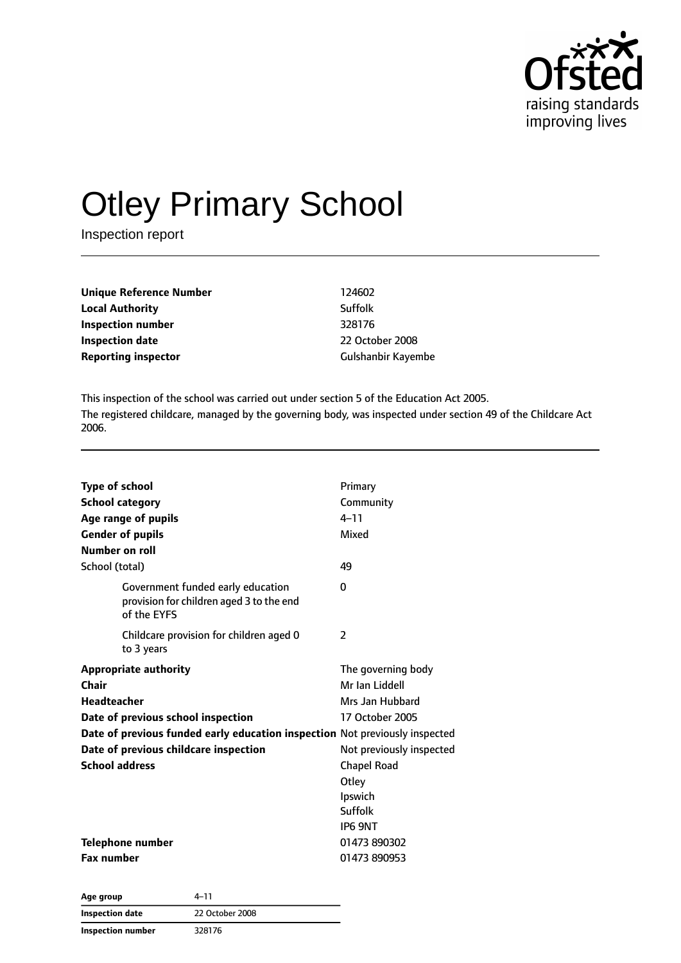

# Otley Primary School

Inspection report

| Unique Reference Number    | 124602             |
|----------------------------|--------------------|
| Local Authority            | Suffolk            |
| Inspection number          | 328176             |
| Inspection date            | 22 October 2008    |
| <b>Reporting inspector</b> | Gulshanbir Kayembe |
|                            |                    |

This inspection of the school was carried out under section 5 of the Education Act 2005. The registered childcare, managed by the governing body, was inspected under section 49 of the Childcare Act 2006.

| <b>Type of school</b><br><b>School category</b><br>Age range of pupils<br><b>Gender of pupils</b><br>Number on roll                                                                                                                                | Primary<br>Community<br>$4 - 11$<br>Mixed                                                                                                                              |
|----------------------------------------------------------------------------------------------------------------------------------------------------------------------------------------------------------------------------------------------------|------------------------------------------------------------------------------------------------------------------------------------------------------------------------|
| School (total)                                                                                                                                                                                                                                     | 49                                                                                                                                                                     |
| Government funded early education<br>provision for children aged 3 to the end<br>of the EYFS                                                                                                                                                       | 0                                                                                                                                                                      |
| Childcare provision for children aged 0<br>to 3 years                                                                                                                                                                                              | $\overline{\phantom{a}}$                                                                                                                                               |
| <b>Appropriate authority</b><br>Chair<br><b>Headteacher</b><br>Date of previous school inspection<br>Date of previous funded early education inspection Not previously inspected<br>Date of previous childcare inspection<br><b>School address</b> | The governing body<br>Mr Ian Liddell<br>Mrs Jan Hubbard<br>17 October 2005<br>Not previously inspected<br><b>Chapel Road</b><br>Otley<br>Ipswich<br>Suffolk<br>IP6 9NT |
| <b>Telephone number</b><br><b>Fax number</b>                                                                                                                                                                                                       | 01473 890302<br>01473 890953                                                                                                                                           |

| Age group         | 4–11            |  |
|-------------------|-----------------|--|
| Inspection date   | 22 October 2008 |  |
| Inspection number | 328176          |  |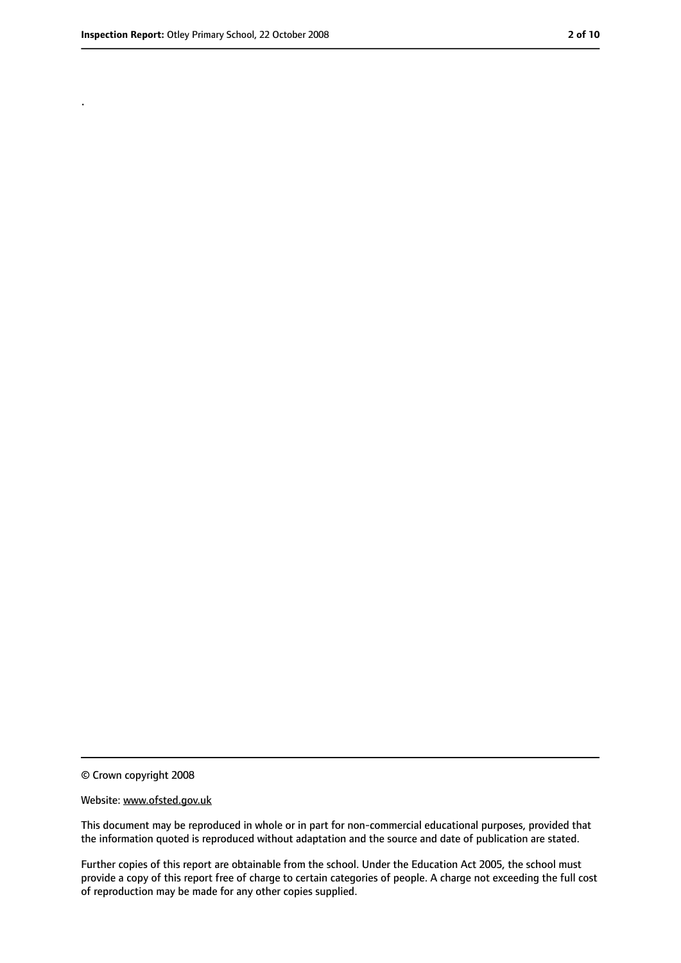.

<sup>©</sup> Crown copyright 2008

Website: www.ofsted.gov.uk

This document may be reproduced in whole or in part for non-commercial educational purposes, provided that the information quoted is reproduced without adaptation and the source and date of publication are stated.

Further copies of this report are obtainable from the school. Under the Education Act 2005, the school must provide a copy of this report free of charge to certain categories of people. A charge not exceeding the full cost of reproduction may be made for any other copies supplied.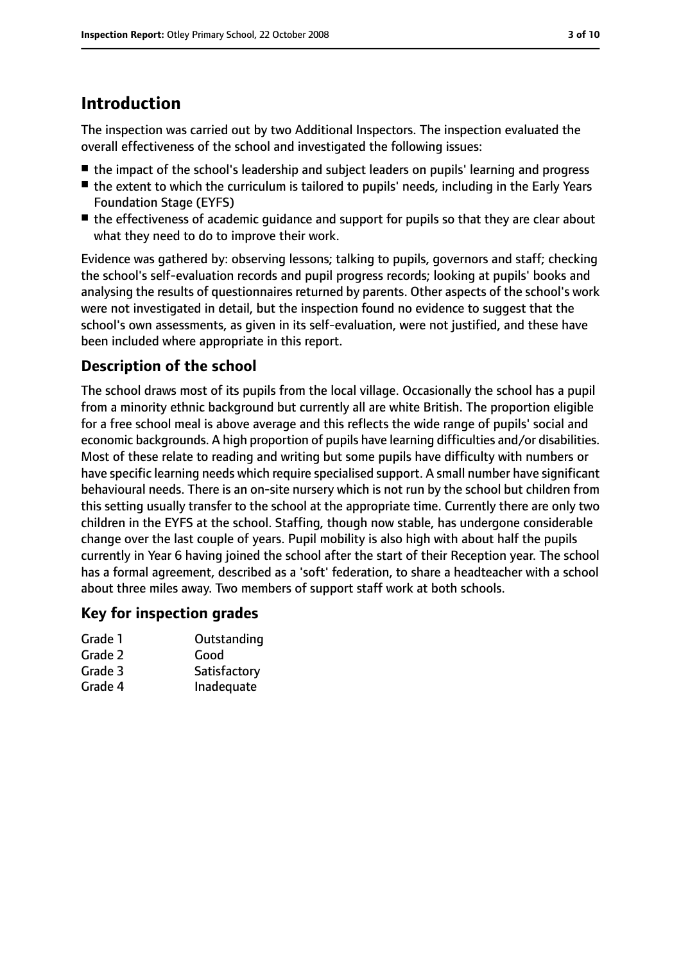## **Introduction**

The inspection was carried out by two Additional Inspectors. The inspection evaluated the overall effectiveness of the school and investigated the following issues:

- the impact of the school's leadership and subiect leaders on pupils' learning and progress
- the extent to which the curriculum is tailored to pupils' needs, including in the Early Years Foundation Stage (EYFS)
- the effectiveness of academic quidance and support for pupils so that they are clear about what they need to do to improve their work.

Evidence was gathered by: observing lessons; talking to pupils, governors and staff; checking the school's self-evaluation records and pupil progress records; looking at pupils' books and analysing the results of questionnaires returned by parents. Other aspects of the school's work were not investigated in detail, but the inspection found no evidence to suggest that the school's own assessments, as given in its self-evaluation, were not justified, and these have been included where appropriate in this report.

#### **Description of the school**

The school draws most of its pupils from the local village. Occasionally the school has a pupil from a minority ethnic background but currently all are white British. The proportion eligible for a free school meal is above average and this reflects the wide range of pupils' social and economic backgrounds. A high proportion of pupils have learning difficulties and/or disabilities. Most of these relate to reading and writing but some pupils have difficulty with numbers or have specific learning needs which require specialised support. A small number have significant behavioural needs. There is an on-site nursery which is not run by the school but children from this setting usually transfer to the school at the appropriate time. Currently there are only two children in the EYFS at the school. Staffing, though now stable, has undergone considerable change over the last couple of years. Pupil mobility is also high with about half the pupils currently in Year 6 having joined the school after the start of their Reception year. The school has a formal agreement, described as a 'soft' federation, to share a headteacher with a school about three miles away. Two members of support staff work at both schools.

#### **Key for inspection grades**

| Outstanding  |
|--------------|
| Good         |
| Satisfactory |
| Inadequate   |
|              |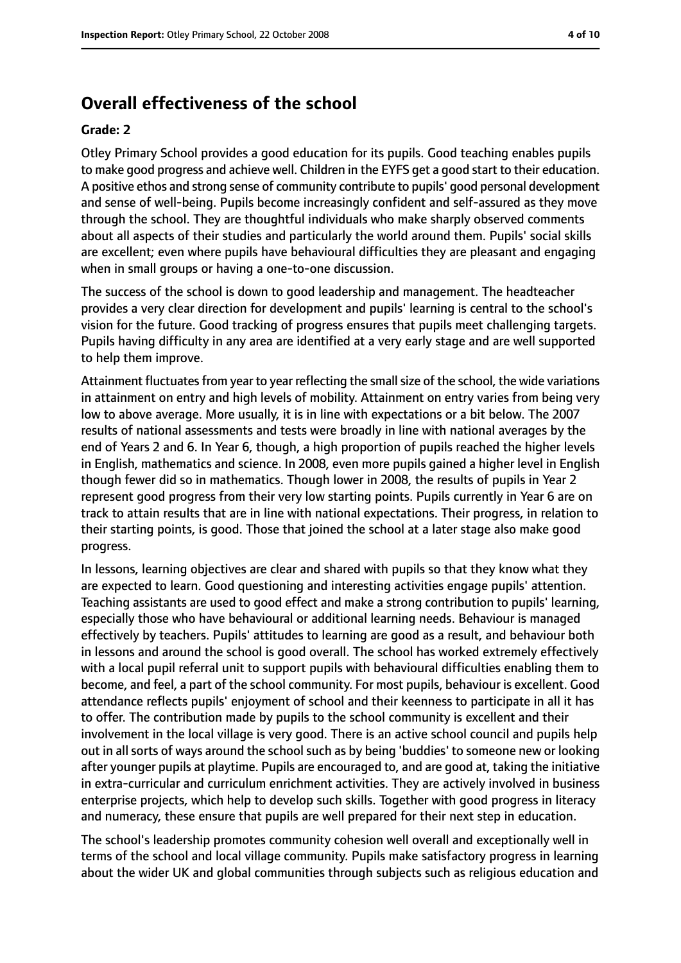#### **Overall effectiveness of the school**

#### **Grade: 2**

Otley Primary School provides a good education for its pupils. Good teaching enables pupils to make good progress and achieve well. Children in the EYFS get a good start to their education. A positive ethos and strong sense of community contribute to pupils' good personal development and sense of well-being. Pupils become increasingly confident and self-assured as they move through the school. They are thoughtful individuals who make sharply observed comments about all aspects of their studies and particularly the world around them. Pupils' social skills are excellent; even where pupils have behavioural difficulties they are pleasant and engaging when in small groups or having a one-to-one discussion.

The success of the school is down to good leadership and management. The headteacher provides a very clear direction for development and pupils' learning is central to the school's vision for the future. Good tracking of progress ensures that pupils meet challenging targets. Pupils having difficulty in any area are identified at a very early stage and are well supported to help them improve.

Attainment fluctuates from year to year reflecting the small size of the school, the wide variations in attainment on entry and high levels of mobility. Attainment on entry varies from being very low to above average. More usually, it is in line with expectations or a bit below. The 2007 results of national assessments and tests were broadly in line with national averages by the end of Years 2 and 6. In Year 6, though, a high proportion of pupils reached the higher levels in English, mathematics and science. In 2008, even more pupils gained a higher level in English though fewer did so in mathematics. Though lower in 2008, the results of pupils in Year 2 represent good progress from their very low starting points. Pupils currently in Year 6 are on track to attain results that are in line with national expectations. Their progress, in relation to their starting points, is good. Those that joined the school at a later stage also make good progress.

In lessons, learning objectives are clear and shared with pupils so that they know what they are expected to learn. Good questioning and interesting activities engage pupils' attention. Teaching assistants are used to good effect and make a strong contribution to pupils' learning, especially those who have behavioural or additional learning needs. Behaviour is managed effectively by teachers. Pupils' attitudes to learning are good as a result, and behaviour both in lessons and around the school is good overall. The school has worked extremely effectively with a local pupil referral unit to support pupils with behavioural difficulties enabling them to become, and feel, a part of the school community. For most pupils, behaviour is excellent. Good attendance reflects pupils' enjoyment of school and their keenness to participate in all it has to offer. The contribution made by pupils to the school community is excellent and their involvement in the local village is very good. There is an active school council and pupils help out in all sorts of ways around the school such as by being 'buddies' to someone new or looking after younger pupils at playtime. Pupils are encouraged to, and are good at, taking the initiative in extra-curricular and curriculum enrichment activities. They are actively involved in business enterprise projects, which help to develop such skills. Together with good progress in literacy and numeracy, these ensure that pupils are well prepared for their next step in education.

The school's leadership promotes community cohesion well overall and exceptionally well in terms of the school and local village community. Pupils make satisfactory progress in learning about the wider UK and global communities through subjects such as religious education and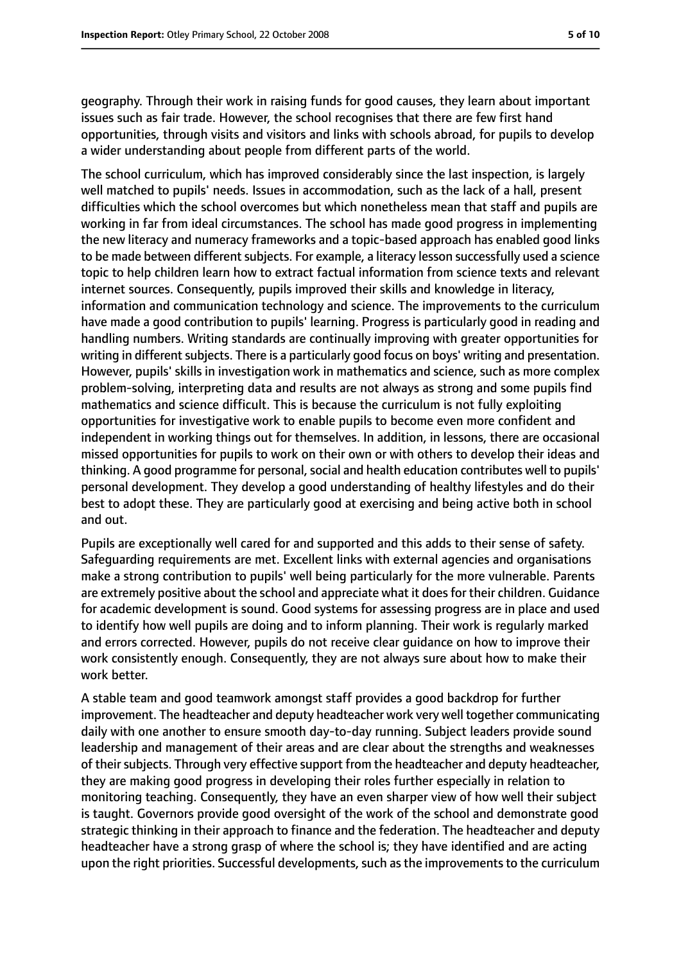geography. Through their work in raising funds for good causes, they learn about important issues such as fair trade. However, the school recognises that there are few first hand opportunities, through visits and visitors and links with schools abroad, for pupils to develop a wider understanding about people from different parts of the world.

The school curriculum, which has improved considerably since the last inspection, is largely well matched to pupils' needs. Issues in accommodation, such as the lack of a hall, present difficulties which the school overcomes but which nonetheless mean that staff and pupils are working in far from ideal circumstances. The school has made good progress in implementing the new literacy and numeracy frameworks and a topic-based approach has enabled good links to be made between different subjects. For example, a literacy lesson successfully used a science topic to help children learn how to extract factual information from science texts and relevant internet sources. Consequently, pupils improved their skills and knowledge in literacy, information and communication technology and science. The improvements to the curriculum have made a good contribution to pupils' learning. Progress is particularly good in reading and handling numbers. Writing standards are continually improving with greater opportunities for writing in different subjects. There is a particularly good focus on boys' writing and presentation. However, pupils' skills in investigation work in mathematics and science, such as more complex problem-solving, interpreting data and results are not always as strong and some pupils find mathematics and science difficult. This is because the curriculum is not fully exploiting opportunities for investigative work to enable pupils to become even more confident and independent in working things out for themselves. In addition, in lessons, there are occasional missed opportunities for pupils to work on their own or with others to develop their ideas and thinking. A good programme for personal, social and health education contributes well to pupils' personal development. They develop a good understanding of healthy lifestyles and do their best to adopt these. They are particularly good at exercising and being active both in school and out.

Pupils are exceptionally well cared for and supported and this adds to their sense of safety. Safeguarding requirements are met. Excellent links with external agencies and organisations make a strong contribution to pupils' well being particularly for the more vulnerable. Parents are extremely positive about the school and appreciate what it doesfor their children. Guidance for academic development is sound. Good systems for assessing progress are in place and used to identify how well pupils are doing and to inform planning. Their work is regularly marked and errors corrected. However, pupils do not receive clear guidance on how to improve their work consistently enough. Consequently, they are not always sure about how to make their work better.

A stable team and good teamwork amongst staff provides a good backdrop for further improvement. The headteacher and deputy headteacher work very well together communicating daily with one another to ensure smooth day-to-day running. Subject leaders provide sound leadership and management of their areas and are clear about the strengths and weaknesses of their subjects. Through very effective support from the headteacher and deputy headteacher, they are making good progress in developing their roles further especially in relation to monitoring teaching. Consequently, they have an even sharper view of how well their subject is taught. Governors provide good oversight of the work of the school and demonstrate good strategic thinking in their approach to finance and the federation. The headteacher and deputy headteacher have a strong grasp of where the school is; they have identified and are acting upon the right priorities. Successful developments, such as the improvements to the curriculum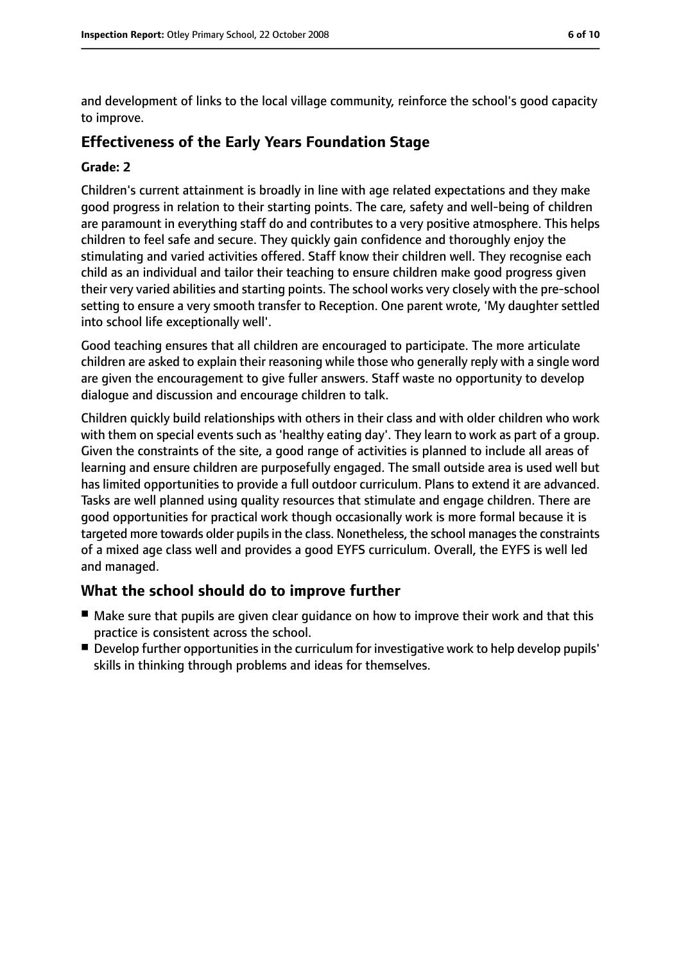and development of links to the local village community, reinforce the school's good capacity to improve.

#### **Effectiveness of the Early Years Foundation Stage**

#### **Grade: 2**

Children's current attainment is broadly in line with age related expectations and they make good progress in relation to their starting points. The care, safety and well-being of children are paramount in everything staff do and contributes to a very positive atmosphere. This helps children to feel safe and secure. They quickly gain confidence and thoroughly enjoy the stimulating and varied activities offered. Staff know their children well. They recognise each child as an individual and tailor their teaching to ensure children make good progress given their very varied abilities and starting points. The school works very closely with the pre-school setting to ensure a very smooth transfer to Reception. One parent wrote, 'My daughter settled into school life exceptionally well'.

Good teaching ensures that all children are encouraged to participate. The more articulate children are asked to explain their reasoning while those who generally reply with a single word are given the encouragement to give fuller answers. Staff waste no opportunity to develop dialogue and discussion and encourage children to talk.

Children quickly build relationships with others in their class and with older children who work with them on special events such as 'healthy eating day'. They learn to work as part of a group. Given the constraints of the site, a good range of activities is planned to include all areas of learning and ensure children are purposefully engaged. The small outside area is used well but has limited opportunities to provide a full outdoor curriculum. Plans to extend it are advanced. Tasks are well planned using quality resources that stimulate and engage children. There are good opportunities for practical work though occasionally work is more formal because it is targeted more towards older pupils in the class. Nonetheless, the school manages the constraints of a mixed age class well and provides a good EYFS curriculum. Overall, the EYFS is well led and managed.

#### **What the school should do to improve further**

- Make sure that pupils are given clear guidance on how to improve their work and that this practice is consistent across the school.
- Develop further opportunities in the curriculum for investigative work to help develop pupils' skills in thinking through problems and ideas for themselves.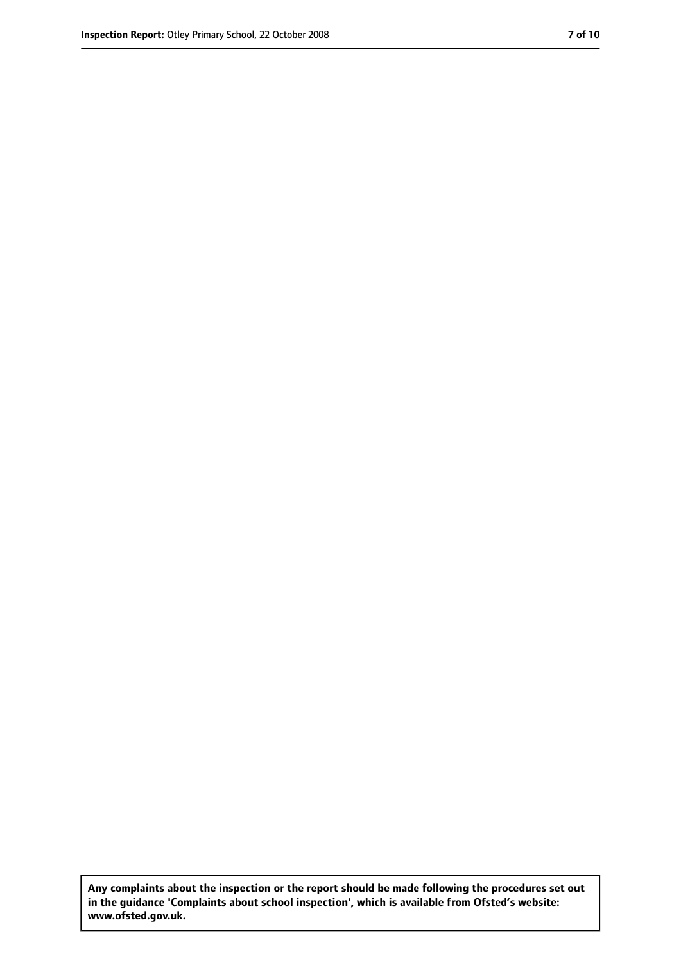**Any complaints about the inspection or the report should be made following the procedures set out in the guidance 'Complaints about school inspection', which is available from Ofsted's website: www.ofsted.gov.uk.**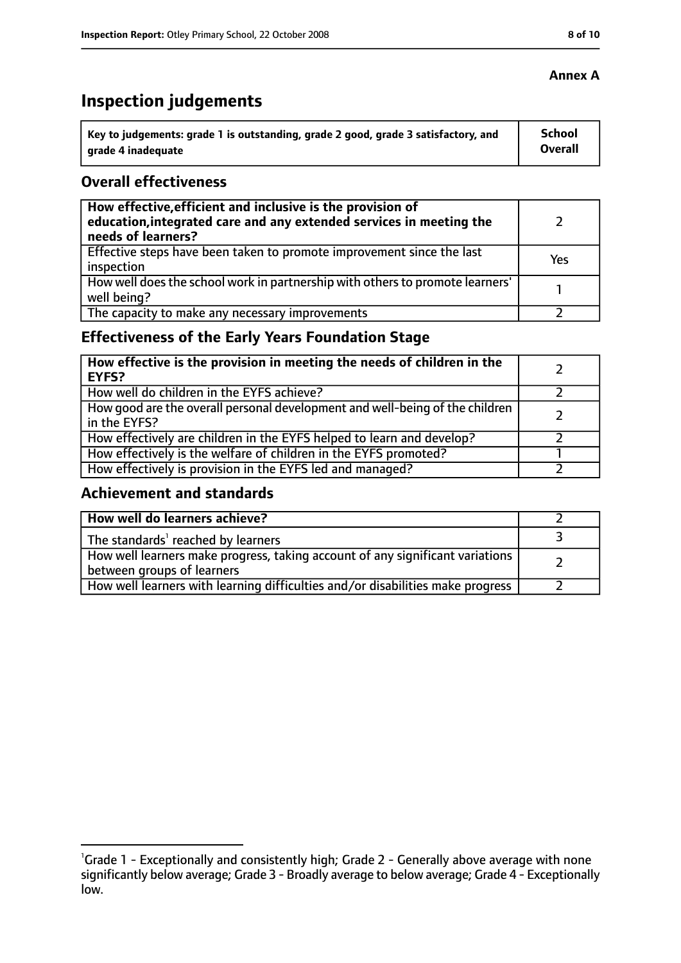# **Inspection judgements**

| \ Key to judgements: grade 1 is outstanding, grade 2 good, grade 3 satisfactory, and | <b>School</b>  |
|--------------------------------------------------------------------------------------|----------------|
| arade 4 inadequate                                                                   | <b>Overall</b> |

#### **Overall effectiveness**

| How effective, efficient and inclusive is the provision of<br>education, integrated care and any extended services in meeting the<br>needs of learners? |     |
|---------------------------------------------------------------------------------------------------------------------------------------------------------|-----|
| Effective steps have been taken to promote improvement since the last<br>inspection                                                                     | Yes |
| How well does the school work in partnership with others to promote learners'<br>well being?                                                            |     |
| The capacity to make any necessary improvements                                                                                                         |     |

## **Effectiveness of the Early Years Foundation Stage**

| How effective is the provision in meeting the needs of children in the<br>l EYFS?              |  |
|------------------------------------------------------------------------------------------------|--|
| How well do children in the EYFS achieve?                                                      |  |
| How good are the overall personal development and well-being of the children<br>I in the EYFS? |  |
| How effectively are children in the EYFS helped to learn and develop?                          |  |
| How effectively is the welfare of children in the EYFS promoted?                               |  |
| How effectively is provision in the EYFS led and managed?                                      |  |

#### **Achievement and standards**

| How well do learners achieve?                                                                               |  |
|-------------------------------------------------------------------------------------------------------------|--|
| The standards <sup>1</sup> reached by learners                                                              |  |
| How well learners make progress, taking account of any significant variations<br>between groups of learners |  |
| How well learners with learning difficulties and/or disabilities make progress                              |  |

#### **Annex A**

<sup>&</sup>lt;sup>1</sup>Grade 1 - Exceptionally and consistently high; Grade 2 - Generally above average with none significantly below average; Grade 3 - Broadly average to below average; Grade 4 - Exceptionally low.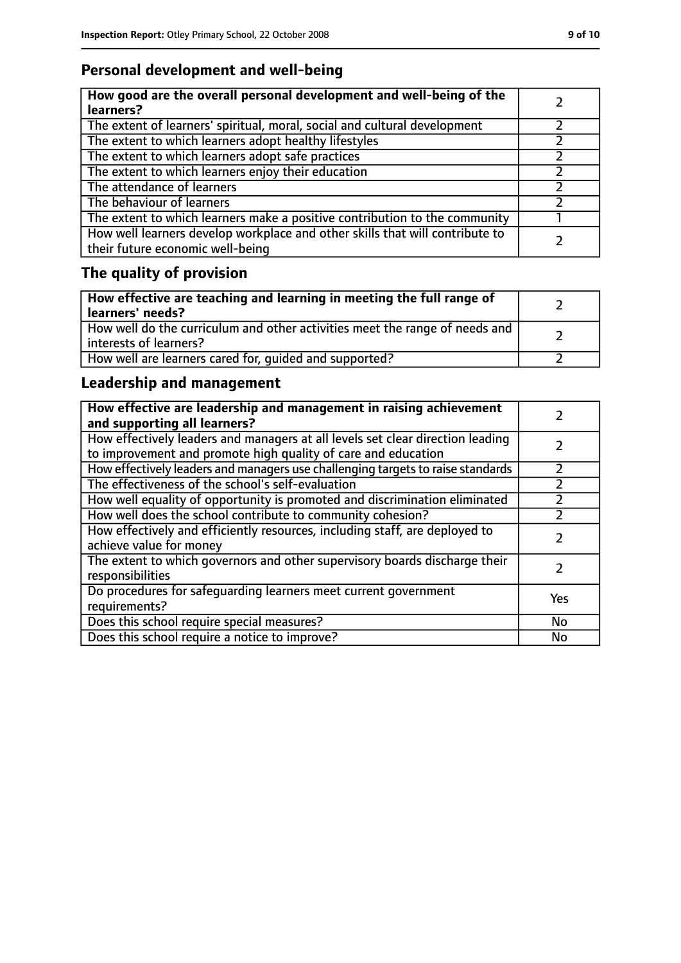## **Personal development and well-being**

| How good are the overall personal development and well-being of the<br>learners?                                 |  |
|------------------------------------------------------------------------------------------------------------------|--|
| The extent of learners' spiritual, moral, social and cultural development                                        |  |
| The extent to which learners adopt healthy lifestyles                                                            |  |
| The extent to which learners adopt safe practices                                                                |  |
| The extent to which learners enjoy their education                                                               |  |
| The attendance of learners                                                                                       |  |
| The behaviour of learners                                                                                        |  |
| The extent to which learners make a positive contribution to the community                                       |  |
| How well learners develop workplace and other skills that will contribute to<br>their future economic well-being |  |

## **The quality of provision**

| How effective are teaching and learning in meeting the full range of<br>learners' needs?              |  |
|-------------------------------------------------------------------------------------------------------|--|
| How well do the curriculum and other activities meet the range of needs and<br>interests of learners? |  |
| How well are learners cared for, quided and supported?                                                |  |

## **Leadership and management**

| How effective are leadership and management in raising achievement<br>and supporting all learners?                                              |     |
|-------------------------------------------------------------------------------------------------------------------------------------------------|-----|
| How effectively leaders and managers at all levels set clear direction leading<br>to improvement and promote high quality of care and education |     |
| How effectively leaders and managers use challenging targets to raise standards                                                                 |     |
| The effectiveness of the school's self-evaluation                                                                                               |     |
| How well equality of opportunity is promoted and discrimination eliminated                                                                      |     |
| How well does the school contribute to community cohesion?                                                                                      |     |
| How effectively and efficiently resources, including staff, are deployed to<br>achieve value for money                                          |     |
| The extent to which governors and other supervisory boards discharge their<br>responsibilities                                                  |     |
| Do procedures for safeguarding learners meet current government<br>requirements?                                                                | Yes |
| Does this school require special measures?                                                                                                      | No  |
| Does this school require a notice to improve?                                                                                                   | No  |